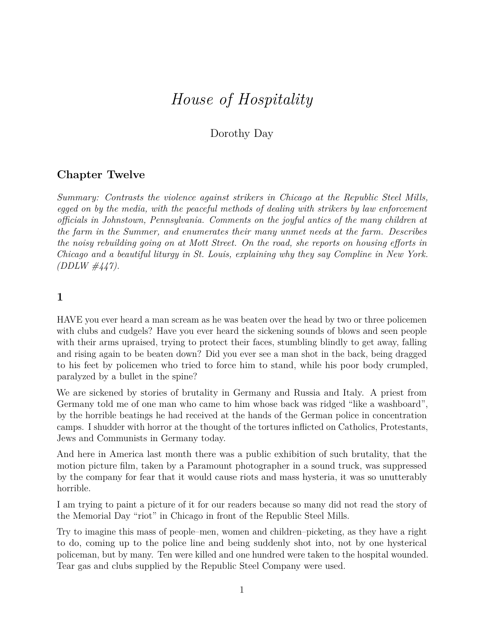# *House of Hospitality*

## Dorothy Day

#### **Chapter Twelve**

*Summary: Contrasts the violence against strikers in Chicago at the Republic Steel Mills, egged on by the media, with the peaceful methods of dealing with strikers by law enforcement officials in Johnstown, Pennsylvania. Comments on the joyful antics of the many children at the farm in the Summer, and enumerates their many unmet needs at the farm. Describes the noisy rebuilding going on at Mott Street. On the road, she reports on housing efforts in Chicago and a beautiful liturgy in St. Louis, explaining why they say Compline in New York. (DDLW #447).*

#### **1**

HAVE you ever heard a man scream as he was beaten over the head by two or three policemen with clubs and cudgels? Have you ever heard the sickening sounds of blows and seen people with their arms upraised, trying to protect their faces, stumbling blindly to get away, falling and rising again to be beaten down? Did you ever see a man shot in the back, being dragged to his feet by policemen who tried to force him to stand, while his poor body crumpled, paralyzed by a bullet in the spine?

We are sickened by stories of brutality in Germany and Russia and Italy. A priest from Germany told me of one man who came to him whose back was ridged "like a washboard", by the horrible beatings he had received at the hands of the German police in concentration camps. I shudder with horror at the thought of the tortures inflicted on Catholics, Protestants, Jews and Communists in Germany today.

And here in America last month there was a public exhibition of such brutality, that the motion picture film, taken by a Paramount photographer in a sound truck, was suppressed by the company for fear that it would cause riots and mass hysteria, it was so unutterably horrible.

I am trying to paint a picture of it for our readers because so many did not read the story of the Memorial Day "riot" in Chicago in front of the Republic Steel Mills.

Try to imagine this mass of people–men, women and children–picketing, as they have a right to do, coming up to the police line and being suddenly shot into, not by one hysterical policeman, but by many. Ten were killed and one hundred were taken to the hospital wounded. Tear gas and clubs supplied by the Republic Steel Company were used.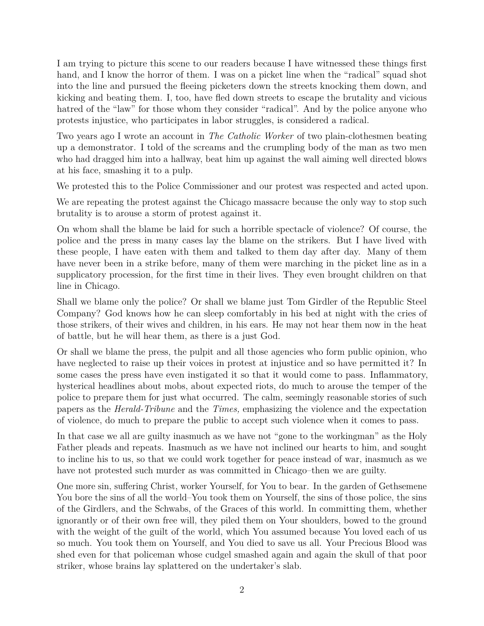I am trying to picture this scene to our readers because I have witnessed these things first hand, and I know the horror of them. I was on a picket line when the "radical" squad shot into the line and pursued the fleeing picketers down the streets knocking them down, and kicking and beating them. I, too, have fled down streets to escape the brutality and vicious hatred of the "law" for those whom they consider "radical". And by the police anyone who protests injustice, who participates in labor struggles, is considered a radical.

Two years ago I wrote an account in *The Catholic Worker* of two plain-clothesmen beating up a demonstrator. I told of the screams and the crumpling body of the man as two men who had dragged him into a hallway, beat him up against the wall aiming well directed blows at his face, smashing it to a pulp.

We protested this to the Police Commissioner and our protest was respected and acted upon.

We are repeating the protest against the Chicago massacre because the only way to stop such brutality is to arouse a storm of protest against it.

On whom shall the blame be laid for such a horrible spectacle of violence? Of course, the police and the press in many cases lay the blame on the strikers. But I have lived with these people, I have eaten with them and talked to them day after day. Many of them have never been in a strike before, many of them were marching in the picket line as in a supplicatory procession, for the first time in their lives. They even brought children on that line in Chicago.

Shall we blame only the police? Or shall we blame just Tom Girdler of the Republic Steel Company? God knows how he can sleep comfortably in his bed at night with the cries of those strikers, of their wives and children, in his ears. He may not hear them now in the heat of battle, but he will hear them, as there is a just God.

Or shall we blame the press, the pulpit and all those agencies who form public opinion, who have neglected to raise up their voices in protest at injustice and so have permitted it? In some cases the press have even instigated it so that it would come to pass. Inflammatory, hysterical headlines about mobs, about expected riots, do much to arouse the temper of the police to prepare them for just what occurred. The calm, seemingly reasonable stories of such papers as the *Herald-Tribune* and the *Times,* emphasizing the violence and the expectation of violence, do much to prepare the public to accept such violence when it comes to pass.

In that case we all are guilty inasmuch as we have not "gone to the workingman" as the Holy Father pleads and repeats. Inasmuch as we have not inclined our hearts to him, and sought to incline his to us, so that we could work together for peace instead of war, inasmuch as we have not protested such murder as was committed in Chicago–then we are guilty.

One more sin, suffering Christ, worker Yourself, for You to bear. In the garden of Gethsemene You bore the sins of all the world–You took them on Yourself, the sins of those police, the sins of the Girdlers, and the Schwabs, of the Graces of this world. In committing them, whether ignorantly or of their own free will, they piled them on Your shoulders, bowed to the ground with the weight of the guilt of the world, which You assumed because You loved each of us so much. You took them on Yourself, and You died to save us all. Your Precious Blood was shed even for that policeman whose cudgel smashed again and again the skull of that poor striker, whose brains lay splattered on the undertaker's slab.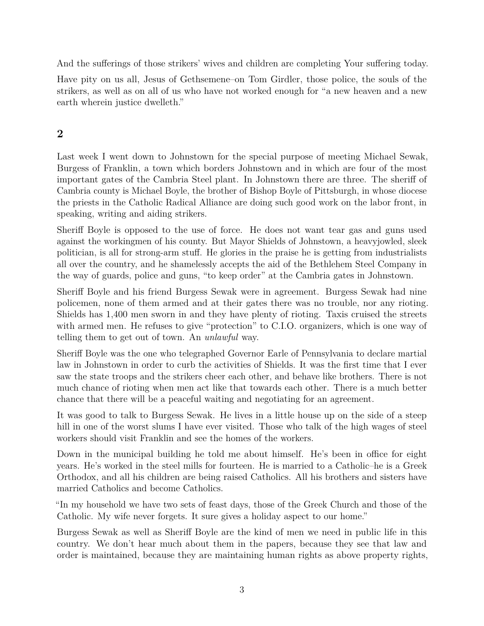And the sufferings of those strikers' wives and children are completing Your suffering today.

Have pity on us all, Jesus of Gethsemene–on Tom Girdler, those police, the souls of the strikers, as well as on all of us who have not worked enough for "a new heaven and a new earth wherein justice dwelleth."

# **2**

Last week I went down to Johnstown for the special purpose of meeting Michael Sewak, Burgess of Franklin, a town which borders Johnstown and in which are four of the most important gates of the Cambria Steel plant. In Johnstown there are three. The sheriff of Cambria county is Michael Boyle, the brother of Bishop Boyle of Pittsburgh, in whose diocese the priests in the Catholic Radical Alliance are doing such good work on the labor front, in speaking, writing and aiding strikers.

Sheriff Boyle is opposed to the use of force. He does not want tear gas and guns used against the workingmen of his county. But Mayor Shields of Johnstown, a heavyjowled, sleek politician, is all for strong-arm stuff. He glories in the praise he is getting from industrialists all over the country, and he shamelessly accepts the aid of the Bethlehem Steel Company in the way of guards, police and guns, "to keep order" at the Cambria gates in Johnstown.

Sheriff Boyle and his friend Burgess Sewak were in agreement. Burgess Sewak had nine policemen, none of them armed and at their gates there was no trouble, nor any rioting. Shields has 1,400 men sworn in and they have plenty of rioting. Taxis cruised the streets with armed men. He refuses to give "protection" to C.I.O. organizers, which is one way of telling them to get out of town. An *unlawful* way.

Sheriff Boyle was the one who telegraphed Governor Earle of Pennsylvania to declare martial law in Johnstown in order to curb the activities of Shields. It was the first time that I ever saw the state troops and the strikers cheer each other, and behave like brothers. There is not much chance of rioting when men act like that towards each other. There is a much better chance that there will be a peaceful waiting and negotiating for an agreement.

It was good to talk to Burgess Sewak. He lives in a little house up on the side of a steep hill in one of the worst slums I have ever visited. Those who talk of the high wages of steel workers should visit Franklin and see the homes of the workers.

Down in the municipal building he told me about himself. He's been in office for eight years. He's worked in the steel mills for fourteen. He is married to a Catholic–he is a Greek Orthodox, and all his children are being raised Catholics. All his brothers and sisters have married Catholics and become Catholics.

"In my household we have two sets of feast days, those of the Greek Church and those of the Catholic. My wife never forgets. It sure gives a holiday aspect to our home."

Burgess Sewak as well as Sheriff Boyle are the kind of men we need in public life in this country. We don't hear much about them in the papers, because they see that law and order is maintained, because they are maintaining human rights as above property rights,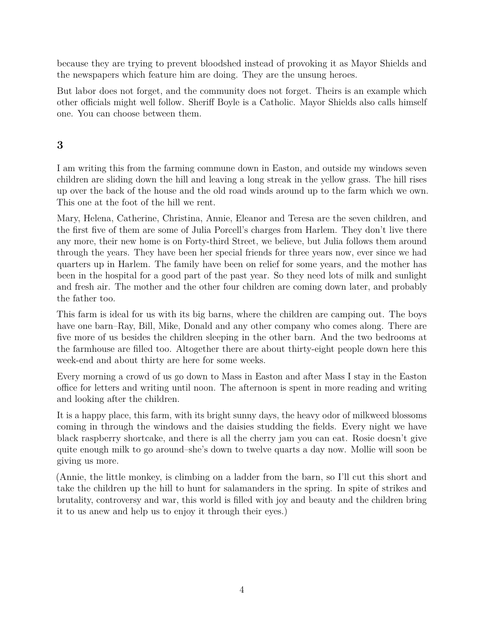because they are trying to prevent bloodshed instead of provoking it as Mayor Shields and the newspapers which feature him are doing. They are the unsung heroes.

But labor does not forget, and the community does not forget. Theirs is an example which other officials might well follow. Sheriff Boyle is a Catholic. Mayor Shields also calls himself one. You can choose between them.

# **3**

I am writing this from the farming commune down in Easton, and outside my windows seven children are sliding down the hill and leaving a long streak in the yellow grass. The hill rises up over the back of the house and the old road winds around up to the farm which we own. This one at the foot of the hill we rent.

Mary, Helena, Catherine, Christina, Annie, Eleanor and Teresa are the seven children, and the first five of them are some of Julia Porcell's charges from Harlem. They don't live there any more, their new home is on Forty-third Street, we believe, but Julia follows them around through the years. They have been her special friends for three years now, ever since we had quarters up in Harlem. The family have been on relief for some years, and the mother has been in the hospital for a good part of the past year. So they need lots of milk and sunlight and fresh air. The mother and the other four children are coming down later, and probably the father too.

This farm is ideal for us with its big barns, where the children are camping out. The boys have one barn–Ray, Bill, Mike, Donald and any other company who comes along. There are five more of us besides the children sleeping in the other barn. And the two bedrooms at the farmhouse are filled too. Altogether there are about thirty-eight people down here this week-end and about thirty are here for some weeks.

Every morning a crowd of us go down to Mass in Easton and after Mass I stay in the Easton office for letters and writing until noon. The afternoon is spent in more reading and writing and looking after the children.

It is a happy place, this farm, with its bright sunny days, the heavy odor of milkweed blossoms coming in through the windows and the daisies studding the fields. Every night we have black raspberry shortcake, and there is all the cherry jam you can eat. Rosie doesn't give quite enough milk to go around–she's down to twelve quarts a day now. Mollie will soon be giving us more.

(Annie, the little monkey, is climbing on a ladder from the barn, so I'll cut this short and take the children up the hill to hunt for salamanders in the spring. In spite of strikes and brutality, controversy and war, this world is filled with joy and beauty and the children bring it to us anew and help us to enjoy it through their eyes.)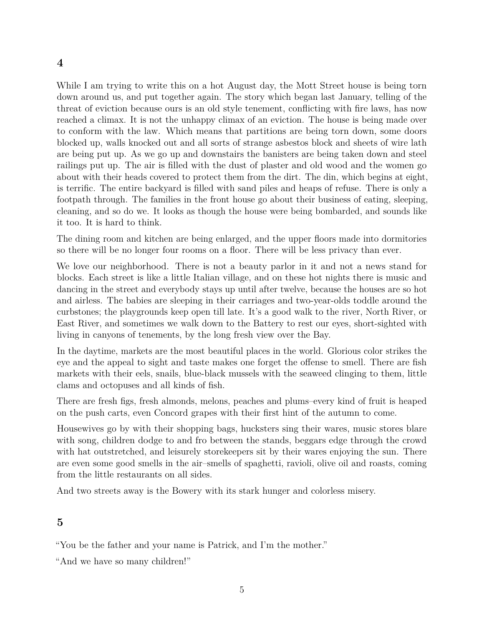#### While I am trying to write this on a hot August day, the Mott Street house is being torn down around us, and put together again. The story which began last January, telling of the threat of eviction because ours is an old style tenement, conflicting with fire laws, has now reached a climax. It is not the unhappy climax of an eviction. The house is being made over to conform with the law. Which means that partitions are being torn down, some doors blocked up, walls knocked out and all sorts of strange asbestos block and sheets of wire lath are being put up. As we go up and downstairs the banisters are being taken down and steel railings put up. The air is filled with the dust of plaster and old wood and the women go about with their heads covered to protect them from the dirt. The din, which begins at eight, is terrific. The entire backyard is filled with sand piles and heaps of refuse. There is only a footpath through. The families in the front house go about their business of eating, sleeping, cleaning, and so do we. It looks as though the house were being bombarded, and sounds like it too. It is hard to think.

The dining room and kitchen are being enlarged, and the upper floors made into dormitories so there will be no longer four rooms on a floor. There will be less privacy than ever.

We love our neighborhood. There is not a beauty parlor in it and not a news stand for blocks. Each street is like a little Italian village, and on these hot nights there is music and dancing in the street and everybody stays up until after twelve, because the houses are so hot and airless. The babies are sleeping in their carriages and two-year-olds toddle around the curbstones; the playgrounds keep open till late. It's a good walk to the river, North River, or East River, and sometimes we walk down to the Battery to rest our eyes, short-sighted with living in canyons of tenements, by the long fresh view over the Bay.

In the daytime, markets are the most beautiful places in the world. Glorious color strikes the eye and the appeal to sight and taste makes one forget the offense to smell. There are fish markets with their eels, snails, blue-black mussels with the seaweed clinging to them, little clams and octopuses and all kinds of fish.

There are fresh figs, fresh almonds, melons, peaches and plums–every kind of fruit is heaped on the push carts, even Concord grapes with their first hint of the autumn to come.

Housewives go by with their shopping bags, hucksters sing their wares, music stores blare with song, children dodge to and fro between the stands, beggars edge through the crowd with hat outstretched, and leisurely storekeepers sit by their wares enjoying the sun. There are even some good smells in the air–smells of spaghetti, ravioli, olive oil and roasts, coming from the little restaurants on all sides.

And two streets away is the Bowery with its stark hunger and colorless misery.

#### **5**

"You be the father and your name is Patrick, and I'm the mother."

"And we have so many children!"

#### **4**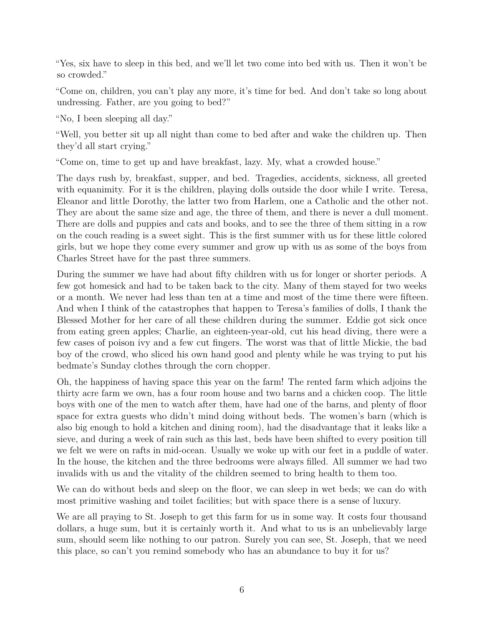"Yes, six have to sleep in this bed, and we'll let two come into bed with us. Then it won't be so crowded."

"Come on, children, you can't play any more, it's time for bed. And don't take so long about undressing. Father, are you going to bed?"

"No, I been sleeping all day."

"Well, you better sit up all night than come to bed after and wake the children up. Then they'd all start crying."

"Come on, time to get up and have breakfast, lazy. My, what a crowded house."

The days rush by, breakfast, supper, and bed. Tragedies, accidents, sickness, all greeted with equanimity. For it is the children, playing dolls outside the door while I write. Teresa, Eleanor and little Dorothy, the latter two from Harlem, one a Catholic and the other not. They are about the same size and age, the three of them, and there is never a dull moment. There are dolls and puppies and cats and books, and to see the three of them sitting in a row on the couch reading is a sweet sight. This is the first summer with us for these little colored girls, but we hope they come every summer and grow up with us as some of the boys from Charles Street have for the past three summers.

During the summer we have had about fifty children with us for longer or shorter periods. A few got homesick and had to be taken back to the city. Many of them stayed for two weeks or a month. We never had less than ten at a time and most of the time there were fifteen. And when I think of the catastrophes that happen to Teresa's families of dolls, I thank the Blessed Mother for her care of all these children during the summer. Eddie got sick once from eating green apples; Charlie, an eighteen-year-old, cut his head diving, there were a few cases of poison ivy and a few cut fingers. The worst was that of little Mickie, the bad boy of the crowd, who sliced his own hand good and plenty while he was trying to put his bedmate's Sunday clothes through the corn chopper.

Oh, the happiness of having space this year on the farm! The rented farm which adjoins the thirty acre farm we own, has a four room house and two barns and a chicken coop. The little boys with one of the men to watch after them, have had one of the barns, and plenty of floor space for extra guests who didn't mind doing without beds. The women's barn (which is also big enough to hold a kitchen and dining room), had the disadvantage that it leaks like a sieve, and during a week of rain such as this last, beds have been shifted to every position till we felt we were on rafts in mid-ocean. Usually we woke up with our feet in a puddle of water. In the house, the kitchen and the three bedrooms were always filled. All summer we had two invalids with us and the vitality of the children seemed to bring health to them too.

We can do without beds and sleep on the floor, we can sleep in wet beds; we can do with most primitive washing and toilet facilities; but with space there is a sense of luxury.

We are all praying to St. Joseph to get this farm for us in some way. It costs four thousand dollars, a huge sum, but it is certainly worth it. And what to us is an unbelievably large sum, should seem like nothing to our patron. Surely you can see, St. Joseph, that we need this place, so can't you remind somebody who has an abundance to buy it for us?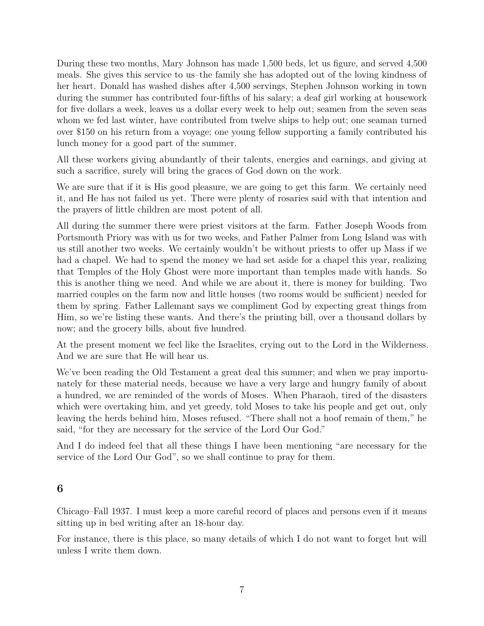During these two months, Mary Johnson has made 1,500 beds, let us figure, and served 4,500 meals. She gives this service to us–the family she has adopted out of the loving kindness of her heart. Donald has washed dishes after 4,500 servings, Stephen Johnson working in town during the summer has contributed four-fifths of his salary; a deaf girl working at housework for five dollars a week, leaves us a dollar every week to help out; seamen from the seven seas whom we fed last winter, have contributed from twelve ships to help out; one seaman turned over \$150 on his return from a voyage; one young fellow supporting a family contributed his lunch money for a good part of the summer.

All these workers giving abundantly of their talents, energies and earnings, and giving at such a sacrifice, surely will bring the graces of God down on the work.

We are sure that if it is His good pleasure, we are going to get this farm. We certainly need it, and He has not failed us yet. There were plenty of rosaries said with that intention and the prayers of little children are most potent of all.

All during the summer there were priest visitors at the farm. Father Joseph Woods from Portsmouth Priory was with us for two weeks, and Father Palmer from Long Island was with us still another two weeks. We certainly wouldn't be without priests to offer up Mass if we had a chapel. We had to spend the money we had set aside for a chapel this year, realizing that Temples of the Holy Ghost were more important than temples made with hands. So this is another thing we need. And while we are about it, there is money for building. Two married couples on the farm now and little houses (two rooms would be sufficient) needed for them by spring. Father Lallemant says we compliment God by expecting great things from Him, so we're listing these wants. And there's the printing bill, over a thousand dollars by now; and the grocery bills, about five hundred.

At the present moment we feel like the Israelites, crying out to the Lord in the Wilderness. And we are sure that He will hear us.

We've been reading the Old Testament a great deal this summer; and when we pray importunately for these material needs, because we have a very large and hungry family of about a hundred, we are reminded of the words of Moses. When Pharaoh, tired of the disasters which were overtaking him, and yet greedy, told Moses to take his people and get out, only leaving the herds behind him, Moses refused. "There shall not a hoof remain of them," he said, "for they are necessary for the service of the Lord Our God."

And I do indeed feel that all these things I have been mentioning "are necessary for the service of the Lord Our God", so we shall continue to pray for them.

#### **6**

Chicago–Fall 1937. I must keep a more careful record of places and persons even if it means sitting up in bed writing after an 18-hour day.

For instance, there is this place, so many details of which I do not want to forget but will unless I write them down.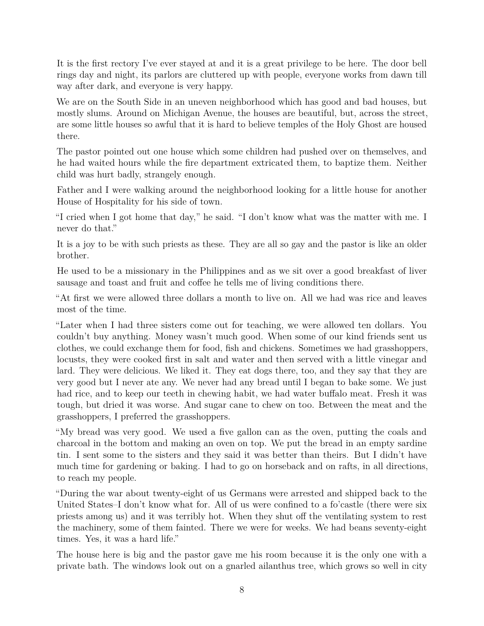It is the first rectory I've ever stayed at and it is a great privilege to be here. The door bell rings day and night, its parlors are cluttered up with people, everyone works from dawn till way after dark, and everyone is very happy.

We are on the South Side in an uneven neighborhood which has good and bad houses, but mostly slums. Around on Michigan Avenue, the houses are beautiful, but, across the street, are some little houses so awful that it is hard to believe temples of the Holy Ghost are housed there.

The pastor pointed out one house which some children had pushed over on themselves, and he had waited hours while the fire department extricated them, to baptize them. Neither child was hurt badly, strangely enough.

Father and I were walking around the neighborhood looking for a little house for another House of Hospitality for his side of town.

"I cried when I got home that day," he said. "I don't know what was the matter with me. I never do that."

It is a joy to be with such priests as these. They are all so gay and the pastor is like an older brother.

He used to be a missionary in the Philippines and as we sit over a good breakfast of liver sausage and toast and fruit and coffee he tells me of living conditions there.

"At first we were allowed three dollars a month to live on. All we had was rice and leaves most of the time.

"Later when I had three sisters come out for teaching, we were allowed ten dollars. You couldn't buy anything. Money wasn't much good. When some of our kind friends sent us clothes, we could exchange them for food, fish and chickens. Sometimes we had grasshoppers, locusts, they were cooked first in salt and water and then served with a little vinegar and lard. They were delicious. We liked it. They eat dogs there, too, and they say that they are very good but I never ate any. We never had any bread until I began to bake some. We just had rice, and to keep our teeth in chewing habit, we had water buffalo meat. Fresh it was tough, but dried it was worse. And sugar cane to chew on too. Between the meat and the grasshoppers, I preferred the grasshoppers.

"My bread was very good. We used a five gallon can as the oven, putting the coals and charcoal in the bottom and making an oven on top. We put the bread in an empty sardine tin. I sent some to the sisters and they said it was better than theirs. But I didn't have much time for gardening or baking. I had to go on horseback and on rafts, in all directions, to reach my people.

"During the war about twenty-eight of us Germans were arrested and shipped back to the United States–I don't know what for. All of us were confined to a fo'castle (there were six priests among us) and it was terribly hot. When they shut off the ventilating system to rest the machinery, some of them fainted. There we were for weeks. We had beans seventy-eight times. Yes, it was a hard life."

The house here is big and the pastor gave me his room because it is the only one with a private bath. The windows look out on a gnarled ailanthus tree, which grows so well in city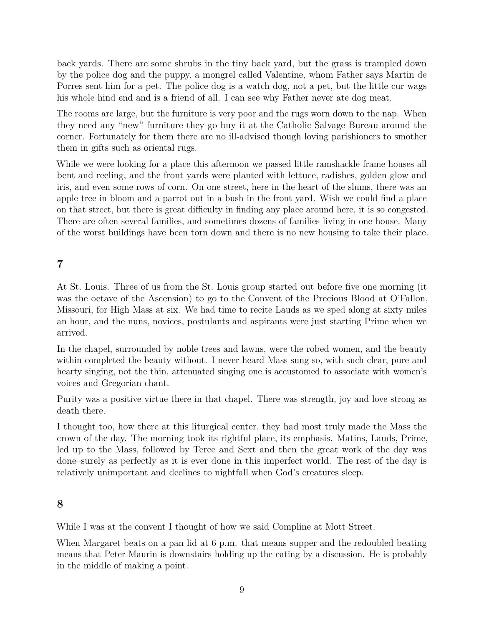back yards. There are some shrubs in the tiny back yard, but the grass is trampled down by the police dog and the puppy, a mongrel called Valentine, whom Father says Martin de Porres sent him for a pet. The police dog is a watch dog, not a pet, but the little cur wags his whole hind end and is a friend of all. I can see why Father never ate dog meat.

The rooms are large, but the furniture is very poor and the rugs worn down to the nap. When they need any "new" furniture they go buy it at the Catholic Salvage Bureau around the corner. Fortunately for them there are no ill-advised though loving parishioners to smother them in gifts such as oriental rugs.

While we were looking for a place this afternoon we passed little ramshackle frame houses all bent and reeling, and the front yards were planted with lettuce, radishes, golden glow and iris, and even some rows of corn. On one street, here in the heart of the slums, there was an apple tree in bloom and a parrot out in a bush in the front yard. Wish we could find a place on that street, but there is great difficulty in finding any place around here, it is so congested. There are often several families, and sometimes dozens of families living in one house. Many of the worst buildings have been torn down and there is no new housing to take their place.

# **7**

At St. Louis. Three of us from the St. Louis group started out before five one morning (it was the octave of the Ascension) to go to the Convent of the Precious Blood at O'Fallon, Missouri, for High Mass at six. We had time to recite Lauds as we sped along at sixty miles an hour, and the nuns, novices, postulants and aspirants were just starting Prime when we arrived.

In the chapel, surrounded by noble trees and lawns, were the robed women, and the beauty within completed the beauty without. I never heard Mass sung so, with such clear, pure and hearty singing, not the thin, attenuated singing one is accustomed to associate with women's voices and Gregorian chant.

Purity was a positive virtue there in that chapel. There was strength, joy and love strong as death there.

I thought too, how there at this liturgical center, they had most truly made the Mass the crown of the day. The morning took its rightful place, its emphasis. Matins, Lauds, Prime, led up to the Mass, followed by Terce and Sext and then the great work of the day was done–surely as perfectly as it is ever done in this imperfect world. The rest of the day is relatively unimportant and declines to nightfall when God's creatures sleep.

## **8**

While I was at the convent I thought of how we said Compline at Mott Street.

When Margaret beats on a pan lid at 6 p.m. that means supper and the redoubled beating means that Peter Maurin is downstairs holding up the eating by a discussion. He is probably in the middle of making a point.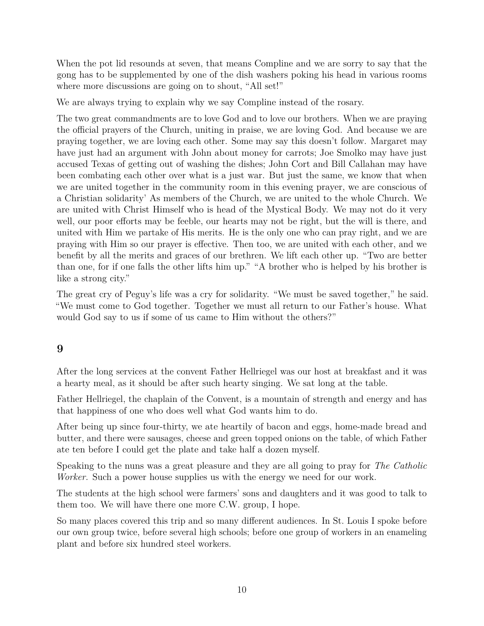When the pot lid resounds at seven, that means Compline and we are sorry to say that the gong has to be supplemented by one of the dish washers poking his head in various rooms where more discussions are going on to shout, "All set!"

We are always trying to explain why we say Compline instead of the rosary.

The two great commandments are to love God and to love our brothers. When we are praying the official prayers of the Church, uniting in praise, we are loving God. And because we are praying together, we are loving each other. Some may say this doesn't follow. Margaret may have just had an argument with John about money for carrots; Joe Smolko may have just accused Texas of getting out of washing the dishes; John Cort and Bill Callahan may have been combating each other over what is a just war. But just the same, we know that when we are united together in the community room in this evening prayer, we are conscious of a Christian solidarity' As members of the Church, we are united to the whole Church. We are united with Christ Himself who is head of the Mystical Body. We may not do it very well, our poor efforts may be feeble, our hearts may not be right, but the will is there, and united with Him we partake of His merits. He is the only one who can pray right, and we are praying with Him so our prayer is effective. Then too, we are united with each other, and we benefit by all the merits and graces of our brethren. We lift each other up. "Two are better than one, for if one falls the other lifts him up." "A brother who is helped by his brother is like a strong city."

The great cry of Peguy's life was a cry for solidarity. "We must be saved together," he said. "We must come to God together. Together we must all return to our Father's house. What would God say to us if some of us came to Him without the others?"

# **9**

After the long services at the convent Father Hellriegel was our host at breakfast and it was a hearty meal, as it should be after such hearty singing. We sat long at the table.

Father Hellriegel, the chaplain of the Convent, is a mountain of strength and energy and has that happiness of one who does well what God wants him to do.

After being up since four-thirty, we ate heartily of bacon and eggs, home-made bread and butter, and there were sausages, cheese and green topped onions on the table, of which Father ate ten before I could get the plate and take half a dozen myself.

Speaking to the nuns was a great pleasure and they are all going to pray for *The Catholic Worker.* Such a power house supplies us with the energy we need for our work.

The students at the high school were farmers' sons and daughters and it was good to talk to them too. We will have there one more C.W. group, I hope.

So many places covered this trip and so many different audiences. In St. Louis I spoke before our own group twice, before several high schools; before one group of workers in an enameling plant and before six hundred steel workers.